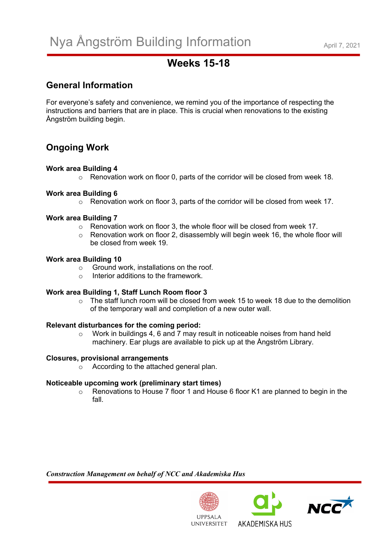# **Weeks 15-18**

# **General Information**

For everyone's safety and convenience, we remind you of the importance of respecting the instructions and barriers that are in place. This is crucial when renovations to the existing Ångström building begin.

# **Ongoing Work**

# **Work area Building 4**

 $\circ$  Renovation work on floor 0, parts of the corridor will be closed from week 18.

# **Work area Building 6**

o Renovation work on floor 3, parts of the corridor will be closed from week 17.

# **Work area Building 7**

- o Renovation work on floor 3, the whole floor will be closed from week 17.
- $\circ$  Renovation work on floor 2, disassembly will begin week 16, the whole floor will be closed from week 19.

# **Work area Building 10**

- o Ground work, installations on the roof.
- $\circ$  Interior additions to the framework

# **Work area Building 1, Staff Lunch Room floor 3**

o The staff lunch room will be closed from week 15 to week 18 due to the demolition of the temporary wall and completion of a new outer wall.

# **Relevant disturbances for the coming period:**

 $\circ$  Work in buildings 4, 6 and 7 may result in noticeable noises from hand held machinery. Ear plugs are available to pick up at the Ångström Library.

# **Closures, provisional arrangements**

o According to the attached general plan.

# **Noticeable upcoming work (preliminary start times)**

 $\circ$  Renovations to House 7 floor 1 and House 6 floor K1 are planned to begin in the fall.

*Construction Management on behalf of NCC and Akademiska Hus*